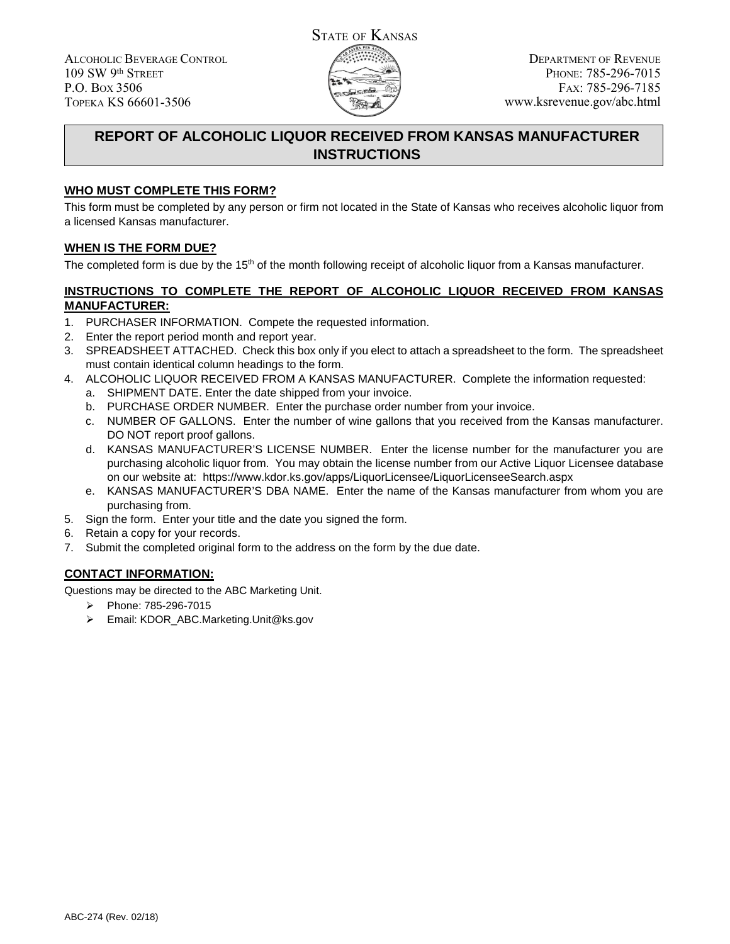

# **REPORT OF ALCOHOLIC LIQUOR RECEIVED FROM KANSAS MANUFACTURER INSTRUCTIONS**

### **WHO MUST COMPLETE THIS FORM?**

This form must be completed by any person or firm not located in the State of Kansas who receives alcoholic liquor from a licensed Kansas manufacturer.

## **WHEN IS THE FORM DUE?**

The completed form is due by the 15<sup>th</sup> of the month following receipt of alcoholic liquor from a Kansas manufacturer.

### **INSTRUCTIONS TO COMPLETE THE REPORT OF ALCOHOLIC LIQUOR RECEIVED FROM KANSAS MANUFACTURER:**

- 1. PURCHASER INFORMATION. Compete the requested information.
- 2. Enter the report period month and report year.
- 3. SPREADSHEET ATTACHED. Check this box only if you elect to attach a spreadsheet to the form. The spreadsheet must contain identical column headings to the form.
- 4. ALCOHOLIC LIQUOR RECEIVED FROM A KANSAS MANUFACTURER. Complete the information requested:
	- a. SHIPMENT DATE. Enter the date shipped from your invoice.
	- b. PURCHASE ORDER NUMBER. Enter the purchase order number from your invoice.
	- c. NUMBER OF GALLONS. Enter the number of wine gallons that you received from the Kansas manufacturer. DO NOT report proof gallons.
	- d. KANSAS MANUFACTURER'S LICENSE NUMBER. Enter the license number for the manufacturer you are purchasing alcoholic liquor from. You may obtain the license number from our Active Liquor Licensee database on our website at: https://www.kdor.ks.gov/apps/LiquorLicensee/LiquorLicenseeSearch.aspx
	- e. KANSAS MANUFACTURER'S DBA NAME. Enter the name of the Kansas manufacturer from whom you are purchasing from.
- 5. Sign the form. Enter your title and the date you signed the form.
- 6. Retain a copy for your records.
- 7. Submit the completed original form to the address on the form by the due date.

### **CONTACT INFORMATION:**

Questions may be directed to the ABC Marketing Unit.

- Phone: 785-296-7015
- Email: KDOR\_ABC.Marketing.Unit@ks.gov